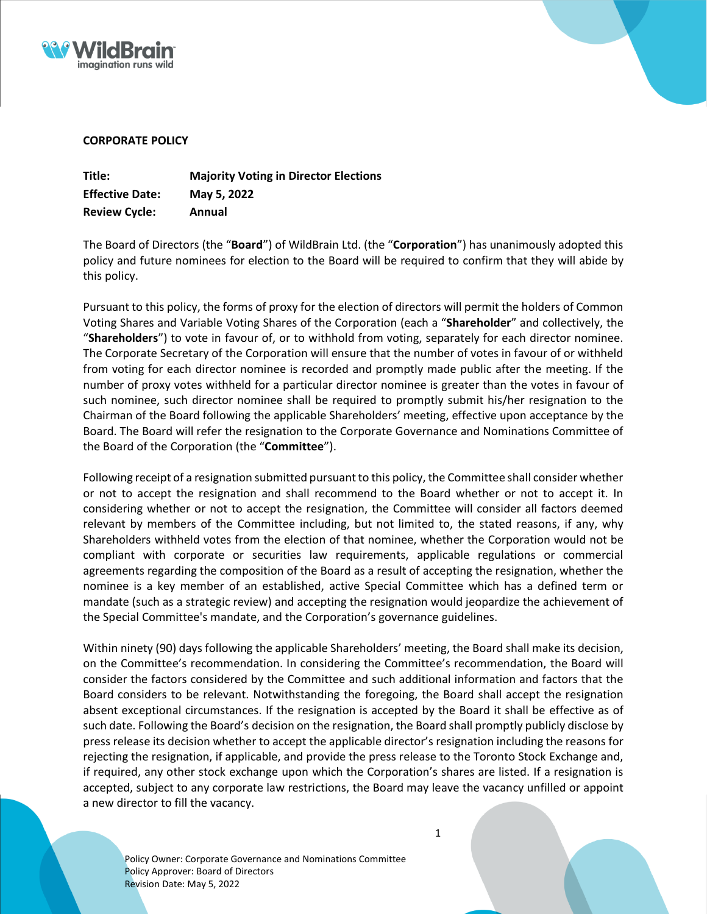



## **CORPORATE POLICY**

| Title:                 | <b>Majority Voting in Director Elections</b> |
|------------------------|----------------------------------------------|
| <b>Effective Date:</b> | May 5, 2022                                  |
| <b>Review Cycle:</b>   | Annual                                       |

The Board of Directors (the "**Board**") of WildBrain Ltd. (the "**Corporation**") has unanimously adopted this policy and future nominees for election to the Board will be required to confirm that they will abide by this policy.

Pursuant to this policy, the forms of proxy for the election of directors will permit the holders of Common Voting Shares and Variable Voting Shares of the Corporation (each a "**Shareholder**" and collectively, the "**Shareholders**") to vote in favour of, or to withhold from voting, separately for each director nominee. The Corporate Secretary of the Corporation will ensure that the number of votes in favour of or withheld from voting for each director nominee is recorded and promptly made public after the meeting. If the number of proxy votes withheld for a particular director nominee is greater than the votes in favour of such nominee, such director nominee shall be required to promptly submit his/her resignation to the Chairman of the Board following the applicable Shareholders' meeting, effective upon acceptance by the Board. The Board will refer the resignation to the Corporate Governance and Nominations Committee of the Board of the Corporation (the "**Committee**").

Following receipt of a resignation submitted pursuant to this policy, the Committee shall consider whether or not to accept the resignation and shall recommend to the Board whether or not to accept it. In considering whether or not to accept the resignation, the Committee will consider all factors deemed relevant by members of the Committee including, but not limited to, the stated reasons, if any, why Shareholders withheld votes from the election of that nominee, whether the Corporation would not be compliant with corporate or securities law requirements, applicable regulations or commercial agreements regarding the composition of the Board as a result of accepting the resignation, whether the nominee is a key member of an established, active Special Committee which has a defined term or mandate (such as a strategic review) and accepting the resignation would jeopardize the achievement of the Special Committee's mandate, and the Corporation's governance guidelines.

Within ninety (90) days following the applicable Shareholders' meeting, the Board shall make its decision, on the Committee's recommendation. In considering the Committee's recommendation, the Board will consider the factors considered by the Committee and such additional information and factors that the Board considers to be relevant. Notwithstanding the foregoing, the Board shall accept the resignation absent exceptional circumstances. If the resignation is accepted by the Board it shall be effective as of such date. Following the Board's decision on the resignation, the Board shall promptly publicly disclose by press release its decision whether to accept the applicable director's resignation including the reasons for rejecting the resignation, if applicable, and provide the press release to the Toronto Stock Exchange and, if required, any other stock exchange upon which the Corporation's shares are listed. If a resignation is accepted, subject to any corporate law restrictions, the Board may leave the vacancy unfilled or appoint a new director to fill the vacancy.

Policy Owner: Corporate Governance and Nominations Committee Policy Approver: Board of Directors Revision Date: May 5, 2022